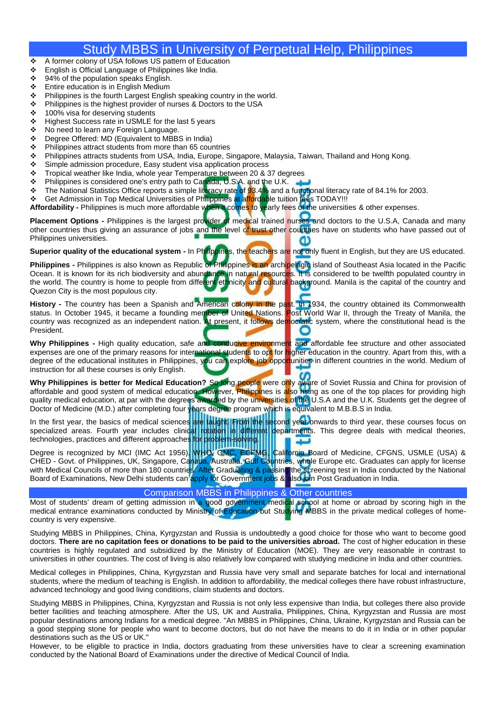## Study MBBS in University of Perpetual Help, Philippines

- ❖ A former colony of USA follows US pattern of Education<br>❖ Fnglish is Official Language of Philippines like India
- English is Official Language of Philippines like India.
- ❖ 94% of the population speaks English.
- ❖ Entire education is in English Medium
- **Philippines is the fourth Largest English speaking country in the world.**<br> **Philippines is the bighest provider of purses & Doctors to the USA**
- $\div$  Philippines is the highest provider of nurses & Doctors to the USA  $\div$  100% visa for deserving students
- ❖ 100% visa for deserving students<br>❖ Highest Success rate in USMLE for
- Highest Success rate in USMLE for the last 5 years
- ◆ No need to learn any Foreign Language.
- Degree Offered: MD (Equivalent to MBBS in India)
- $\div$  Philippines attract students from more than 65 countries
- Philippines attracts students from USA, India, Europe, Singapore, Malaysia, Taiwan, Thailand and Hong Kong.
- Simple admission procedure, Easy student visa application process
- Tropical weather like India, whole year Temperature between 20 & 37 degrees
- ❖ Philippines is considered one's entry path to Canada, U.S.A. and the U.K.
- The National Statistics Office reports a simple literacy rate of 93.4% and a functional literacy rate of 84.1% for 2003.
- ❖ Get Admission in Top Medical Universities of Philippines at affordable tuition fees TODAY!!!

**Affordability -** Philippines is much more affordable when it comes to yearly fees of the universities & other expenses.

**Placement Options** - Philippines is the largest provider of medical trained nurses and doctors to the U.S.A, Canada and many other countries thus giving an assurance of jobs and the level of trust other countries have on students who have passed out of Philippines universities. п

**Superior quality of the educational system -** In Philippines, the teachers are not only fluent in English, but they are US educated.

**Philippines** - Philippines is also known as Republic of Philippines is an archipelagic island of Southeast Asia located in the Pacific Ocean. It is known for its rich biodiversity and abundance in natural resources. It is considered to be twelfth populated country in the world. The country is home to people from different ethnicity and cultural background. Manila is the capital of the country and Quezon City is the most populous city.

**History -** The country has been a Spanish and American colony in the past. In 1934, the country obtained its Commonwealth status. In October 1945, it became a founding member of United Nations. <mark>P</mark>ost World War II, through the Treaty of Manila, the country was recognized as an independent nation. At present, it follows democratic system, where the constitutional head is the President.

**Why Philippines -** High quality education, safe and conducive environment and affordable fee structure and other associated expenses are one of the primary reasons for international students to opt for higher education in the country. Apart from this, with a degree of the educational institutes in Philippines, you can explore job opportunities in different countries in the world. Medium of instruction for all these courses is only English.

**Why Philippines is better for Medical Education?** So long people were only aware of Soviet Russia and China for provision of affordable and good system of medical education. However, Philippines is also rising as one of the top places for providing high quality medical education, at par with the degrees awarded by the universities of the U.S.A and the U.K. Students get the degree of Doctor of Medicine (M.D.) after completing four years degree program which is equivalent to M.B.B.S in India.

In the first year, the basics of medical sciences are taught. From the second year onwards to third year, these courses focus on specialized areas. Fourth year includes clinical rotation in different departments. This degree deals with medical theories, technologies, practices and different approaches for problem-solving.

Degree is recognized by MCI (IMC Act 1956), WHO, GMC, ECFMG, California Board of Medicine, CFGNS, USMLE (USA) & CHED - Govt. of Philippines, UK, Singapore, Canada, Australia, Gulf Countries, whole Europe etc. Graduates can apply for license with Medical Councils of more than 180 countries<mark>. After</mark> Graduating & passing the screening test in India conducted by the National Board of Examinations, New Delhi students can <mark>apply for Government jobs & also joi</mark>n Post Graduation in India.

## Comparison MBBS in Philippines & Other countries

Most of students' dream of getting admission in a good government medical school at home or abroad by scoring high in the medical entrance examinations conducted by Ministry of Education but Studying MBBS in the private medical colleges of homecountry is very expensive.

Studying MBBS in Philippines, China, Kyrgyzstan and Russia is undoubtedly a good choice for those who want to become good doctors. **There are no capitation fees or donations to be paid to the universities abroad.** The cost of higher education in these countries is highly regulated and subsidized by the Ministry of Education (MOE). They are very reasonable in contrast to universities in other countries. The cost of living is also relatively low compared with studying medicine in India and other countries.

Medical colleges in Philippines, China, Kyrgyzstan and Russia have very small and separate batches for local and international students, where the medium of teaching is English. In addition to affordability, the medical colleges there have robust infrastructure, advanced technology and good living conditions, claim students and doctors.

Studying MBBS in Philippines, China, Kyrgyzstan and Russia is not only less expensive than India, but colleges there also provide better facilities and teaching atmosphere. After the US, UK and Australia, Philippines, China, Kyrgyzstan and Russia are most popular destinations among Indians for a medical degree. "An MBBS in Philippines, China, Ukraine, Kyrgyzstan and Russia can be a good stepping stone for people who want to become doctors, but do not have the means to do it in India or in other popular destinations such as the US or UK."

However, to be eligible to practice in India, doctors graduating from these universities have to clear a screening examination conducted by the National Board of Examinations under the directive of Medical Council of India.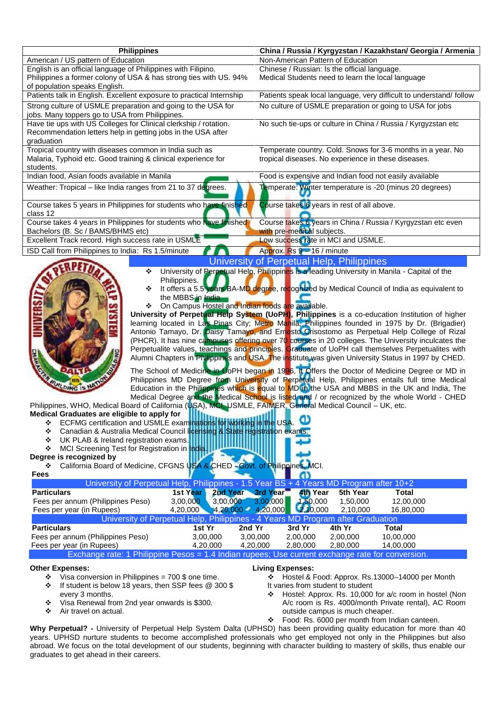|                                                                                                                                                            | <b>Philippines</b>                                                                                                                                                                                                                                                                                                                                                                                                           | China / Russia / Kyrgyzstan / Kazakhstan/ Georgia / Armenia                                                                                                                                                                                                                                                                                                                                                                                                                                                                                                                                                                                                                                                                                                                                                                                                                                                                                                                                                                                                                                                                                                                                                                                |
|------------------------------------------------------------------------------------------------------------------------------------------------------------|------------------------------------------------------------------------------------------------------------------------------------------------------------------------------------------------------------------------------------------------------------------------------------------------------------------------------------------------------------------------------------------------------------------------------|--------------------------------------------------------------------------------------------------------------------------------------------------------------------------------------------------------------------------------------------------------------------------------------------------------------------------------------------------------------------------------------------------------------------------------------------------------------------------------------------------------------------------------------------------------------------------------------------------------------------------------------------------------------------------------------------------------------------------------------------------------------------------------------------------------------------------------------------------------------------------------------------------------------------------------------------------------------------------------------------------------------------------------------------------------------------------------------------------------------------------------------------------------------------------------------------------------------------------------------------|
| American / US pattern of Education<br>English is an official language of Philippines with Filipino.                                                        |                                                                                                                                                                                                                                                                                                                                                                                                                              | Non-American Pattern of Education                                                                                                                                                                                                                                                                                                                                                                                                                                                                                                                                                                                                                                                                                                                                                                                                                                                                                                                                                                                                                                                                                                                                                                                                          |
| Philippines a former colony of USA & has strong ties with US. 94%                                                                                          |                                                                                                                                                                                                                                                                                                                                                                                                                              | Chinese / Russian: Is the official language.<br>Medical Students need to learn the local language                                                                                                                                                                                                                                                                                                                                                                                                                                                                                                                                                                                                                                                                                                                                                                                                                                                                                                                                                                                                                                                                                                                                          |
| of population speaks English.                                                                                                                              |                                                                                                                                                                                                                                                                                                                                                                                                                              |                                                                                                                                                                                                                                                                                                                                                                                                                                                                                                                                                                                                                                                                                                                                                                                                                                                                                                                                                                                                                                                                                                                                                                                                                                            |
| Patients talk in English. Excellent exposure to practical Internship                                                                                       |                                                                                                                                                                                                                                                                                                                                                                                                                              | Patients speak local language, very difficult to understand/ follow                                                                                                                                                                                                                                                                                                                                                                                                                                                                                                                                                                                                                                                                                                                                                                                                                                                                                                                                                                                                                                                                                                                                                                        |
| Strong culture of USMLE preparation and going to the USA for                                                                                               |                                                                                                                                                                                                                                                                                                                                                                                                                              | No culture of USMLE preparation or going to USA for jobs                                                                                                                                                                                                                                                                                                                                                                                                                                                                                                                                                                                                                                                                                                                                                                                                                                                                                                                                                                                                                                                                                                                                                                                   |
| jobs. Many toppers go to USA from Philippines.                                                                                                             |                                                                                                                                                                                                                                                                                                                                                                                                                              |                                                                                                                                                                                                                                                                                                                                                                                                                                                                                                                                                                                                                                                                                                                                                                                                                                                                                                                                                                                                                                                                                                                                                                                                                                            |
| Have tie ups with US Colleges for Clinical clerkship / rotation.                                                                                           |                                                                                                                                                                                                                                                                                                                                                                                                                              | No such tie-ups or culture in China / Russia / Kyrgyzstan etc                                                                                                                                                                                                                                                                                                                                                                                                                                                                                                                                                                                                                                                                                                                                                                                                                                                                                                                                                                                                                                                                                                                                                                              |
| Recommendation letters help in getting jobs in the USA after<br>graduation                                                                                 |                                                                                                                                                                                                                                                                                                                                                                                                                              |                                                                                                                                                                                                                                                                                                                                                                                                                                                                                                                                                                                                                                                                                                                                                                                                                                                                                                                                                                                                                                                                                                                                                                                                                                            |
| Tropical country with diseases common in India such as                                                                                                     |                                                                                                                                                                                                                                                                                                                                                                                                                              | Temperate country. Cold. Snows for 3-6 months in a year. No                                                                                                                                                                                                                                                                                                                                                                                                                                                                                                                                                                                                                                                                                                                                                                                                                                                                                                                                                                                                                                                                                                                                                                                |
| Malaria, Typhoid etc. Good training & clinical experience for                                                                                              |                                                                                                                                                                                                                                                                                                                                                                                                                              | tropical diseases. No experience in these diseases.                                                                                                                                                                                                                                                                                                                                                                                                                                                                                                                                                                                                                                                                                                                                                                                                                                                                                                                                                                                                                                                                                                                                                                                        |
| students.                                                                                                                                                  |                                                                                                                                                                                                                                                                                                                                                                                                                              |                                                                                                                                                                                                                                                                                                                                                                                                                                                                                                                                                                                                                                                                                                                                                                                                                                                                                                                                                                                                                                                                                                                                                                                                                                            |
| Indian food, Asian foods available in Manila                                                                                                               |                                                                                                                                                                                                                                                                                                                                                                                                                              | Food is expensive and Indian food not easily available                                                                                                                                                                                                                                                                                                                                                                                                                                                                                                                                                                                                                                                                                                                                                                                                                                                                                                                                                                                                                                                                                                                                                                                     |
| Weather: Tropical - like India ranges from 21 to 37 degrees.                                                                                               |                                                                                                                                                                                                                                                                                                                                                                                                                              | Temperate: Winter temperature is -20 (minus 20 degrees)                                                                                                                                                                                                                                                                                                                                                                                                                                                                                                                                                                                                                                                                                                                                                                                                                                                                                                                                                                                                                                                                                                                                                                                    |
|                                                                                                                                                            | Course takes 5 years in Philippines for students who have finished                                                                                                                                                                                                                                                                                                                                                           | Course takes 6 years in rest of all above.                                                                                                                                                                                                                                                                                                                                                                                                                                                                                                                                                                                                                                                                                                                                                                                                                                                                                                                                                                                                                                                                                                                                                                                                 |
| class 12                                                                                                                                                   |                                                                                                                                                                                                                                                                                                                                                                                                                              |                                                                                                                                                                                                                                                                                                                                                                                                                                                                                                                                                                                                                                                                                                                                                                                                                                                                                                                                                                                                                                                                                                                                                                                                                                            |
| Bachelors (B. Sc / BAMS/BHMS etc)                                                                                                                          | Course takes 4 years in Philippines for students who have finished                                                                                                                                                                                                                                                                                                                                                           | Course takes 6 years in China / Russia / Kyrgyzstan etc even<br>with pre-medical subjects.                                                                                                                                                                                                                                                                                                                                                                                                                                                                                                                                                                                                                                                                                                                                                                                                                                                                                                                                                                                                                                                                                                                                                 |
| Excellent Track record. High success rate in USMLE                                                                                                         |                                                                                                                                                                                                                                                                                                                                                                                                                              | Low success rate in MCI and USMLE.                                                                                                                                                                                                                                                                                                                                                                                                                                                                                                                                                                                                                                                                                                                                                                                                                                                                                                                                                                                                                                                                                                                                                                                                         |
| ISD Call from Philippines to India: Rs 1.5/minute                                                                                                          |                                                                                                                                                                                                                                                                                                                                                                                                                              | Approx. Rs 9 - 16 / minute                                                                                                                                                                                                                                                                                                                                                                                                                                                                                                                                                                                                                                                                                                                                                                                                                                                                                                                                                                                                                                                                                                                                                                                                                 |
|                                                                                                                                                            |                                                                                                                                                                                                                                                                                                                                                                                                                              | University of Perpetual Help, Philippines                                                                                                                                                                                                                                                                                                                                                                                                                                                                                                                                                                                                                                                                                                                                                                                                                                                                                                                                                                                                                                                                                                                                                                                                  |
|                                                                                                                                                            |                                                                                                                                                                                                                                                                                                                                                                                                                              | University of Perpetual Help, Philippines is a leading University in Manila - Capital of the                                                                                                                                                                                                                                                                                                                                                                                                                                                                                                                                                                                                                                                                                                                                                                                                                                                                                                                                                                                                                                                                                                                                               |
| <b>UILDING</b><br>Medical Graduates are eligible to apply for<br>❖<br>❖<br>UK PLAB & Ireland registration exams.<br>❖<br>❖<br>Degree is recognized by<br>❖ | Philippines.<br>❖<br>the MBBS in India<br>On Campus Hostel and Indian foods are available.<br>❖<br><b>Hitako Albertan Martin Barbara</b><br>ECFMG certification and USMLE examinations for working in the USA.<br>Canadian & Australia Medical Council licensing & State registration exams.<br>MCI Screening Test for Registration in India.<br>California Board of Medicine, CFGNS USA & CHED - Govt. of Philippines, MCI. | It offers a 5.5 years BA-MD degree, recognized by Medical Council of India as equivalent to<br>University of Perpetual Help System (UoPH), Philippines is a co-education Institution of higher<br>learning located in Las Pinas City; Metro Manila, Philippines founded in 1975 by Dr. (Brigadier)<br>Antonio Tamayo, Dr. Daisy Tamayo, and Ernesto Crisostomo as Perpetual Help College of Rizal<br>(PHCR). It has nine campuses offering over 70 courses in 20 colleges. The University inculcates the<br>Perpetualite values, teachings and principles. Graduate of UoPH call themselves Perpetualites with<br>Alumni Chapters in Philippines and USA. The institute was given University Status in 1997 by CHED.<br>The School of Medicine in UoPH began in 1996, It Offers the Doctor of Medicine Degree or MD in<br>Philippines MD Degree from University of Perpetual Help, Philippines entails full time Medical<br>Education in the Philippines which is equal to MD in the USA and MBBS in the UK and India, The<br>Medical Degree and the Medical School is listed and / or recognized by the whole World - CHED<br>Philippines, WHO, Medical Board of California (USA), MCI, USMLE, FAIMER, General Medical Council - UK, etc. |
| Fees                                                                                                                                                       |                                                                                                                                                                                                                                                                                                                                                                                                                              |                                                                                                                                                                                                                                                                                                                                                                                                                                                                                                                                                                                                                                                                                                                                                                                                                                                                                                                                                                                                                                                                                                                                                                                                                                            |
|                                                                                                                                                            |                                                                                                                                                                                                                                                                                                                                                                                                                              | University of Perpetual Help, Philippines - 1.5 Year BS + 4 Years MD Program after 10+2                                                                                                                                                                                                                                                                                                                                                                                                                                                                                                                                                                                                                                                                                                                                                                                                                                                                                                                                                                                                                                                                                                                                                    |
| <b>Particulars</b>                                                                                                                                         | 2nd Year 3rd Year<br>1st Year<br>3,00,000<br>3,00,000                                                                                                                                                                                                                                                                                                                                                                        | <b>4th Year</b><br>5th Year<br><b>Total</b><br>3,00,000<br>1,50,000<br>1,50,000<br>12,00,000                                                                                                                                                                                                                                                                                                                                                                                                                                                                                                                                                                                                                                                                                                                                                                                                                                                                                                                                                                                                                                                                                                                                               |
| Fees per annum (Philippines Peso)<br>Fees per year (in Rupees)                                                                                             | 4,20,000                                                                                                                                                                                                                                                                                                                                                                                                                     | $4,20,000$ 4,20,000 2,10,000<br>2,10,000<br>16,80,000                                                                                                                                                                                                                                                                                                                                                                                                                                                                                                                                                                                                                                                                                                                                                                                                                                                                                                                                                                                                                                                                                                                                                                                      |
|                                                                                                                                                            |                                                                                                                                                                                                                                                                                                                                                                                                                              | University of Perpetual Help, Philippines - 4 Years MD Program after Graduation                                                                                                                                                                                                                                                                                                                                                                                                                                                                                                                                                                                                                                                                                                                                                                                                                                                                                                                                                                                                                                                                                                                                                            |
| <b>Particulars</b>                                                                                                                                         | 1st Yr<br>2nd Yr                                                                                                                                                                                                                                                                                                                                                                                                             | 3rd Yr<br>4th Yr<br><b>Total</b>                                                                                                                                                                                                                                                                                                                                                                                                                                                                                                                                                                                                                                                                                                                                                                                                                                                                                                                                                                                                                                                                                                                                                                                                           |
| Fees per annum (Philippines Peso)<br>Fees per year (in Rupees)                                                                                             | 3,00,000<br>4,20,000                                                                                                                                                                                                                                                                                                                                                                                                         | 2,00,000<br>3,00,000<br>2,00,000<br>10,00,000<br>4,20,000<br>2,80,000<br>2,80,000<br>14,00,000                                                                                                                                                                                                                                                                                                                                                                                                                                                                                                                                                                                                                                                                                                                                                                                                                                                                                                                                                                                                                                                                                                                                             |

- $\sigma$  isa conversion in Philippines =  $700$   $\phi$  one time.  $\div$  If student is below 18 years, then SSP fees @ 300 \$ every 3 months.
- Visa Renewal from 2nd year onwards is \$300.
- Air travel on actual.
- el & Food: Approx. Rs.13000–14000 per Month It varies from student to student
- Hostel: Approx. Rs. 10,000 for a/c room in hostel (Non A/c room is Rs. 4000/month Private rental), AC Room outside campus is much cheaper.
- Food: Rs. 6000 per month from Indian canteen.

**Why Perpetual? -** University of Perpetual Help System Dalta (UPHSD) has been providing quality education for more than 40 years. UPHSD nurture students to become accomplished professionals who get employed not only in the Philippines but also abroad. We focus on the total development of our students, beginning with character building to mastery of skills, thus enable our graduates to get ahead in their careers.